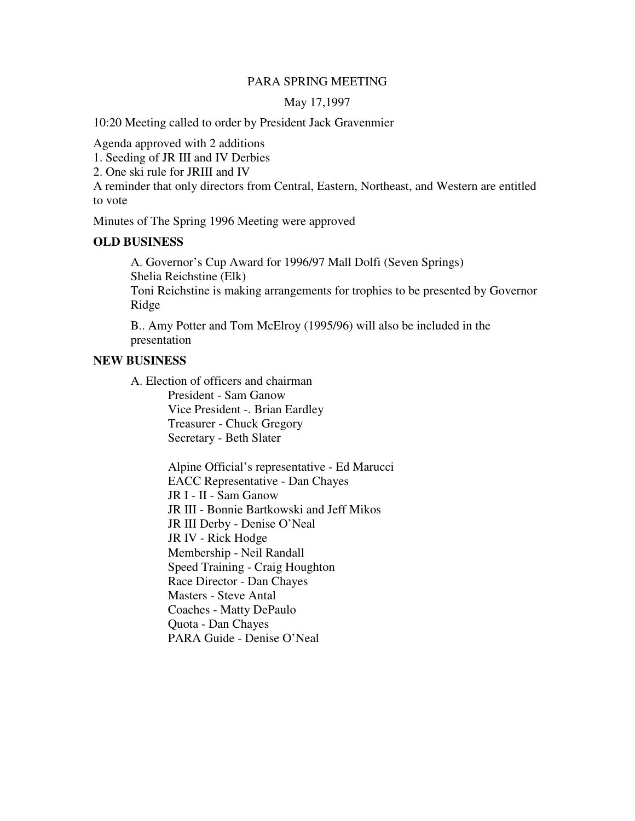# PARA SPRING MEETING

#### May 17,1997

10:20 Meeting called to order by President Jack Gravenmier

Agenda approved with 2 additions

1. Seeding of JR III and IV Derbies

2. One ski rule for JRIII and IV

A reminder that only directors from Central, Eastern, Northeast, and Western are entitled to vote

Minutes of The Spring 1996 Meeting were approved

### **OLD BUSINESS**

A. Governor's Cup Award for 1996/97 Mall Dolfi (Seven Springs) Shelia Reichstine (Elk) Toni Reichstine is making arrangements for trophies to be presented by Governor Ridge

B.. Amy Potter and Tom McElroy (1995/96) will also be included in the presentation

# **NEW BUSINESS**

A. Election of officers and chairman

President - Sam Ganow Vice President -. Brian Eardley Treasurer - Chuck Gregory Secretary - Beth Slater

Alpine Official's representative - Ed Marucci EACC Representative - Dan Chayes JR I - II - Sam Ganow JR III - Bonnie Bartkowski and Jeff Mikos JR III Derby - Denise O'Neal JR IV - Rick Hodge Membership - Neil Randall Speed Training - Craig Houghton Race Director - Dan Chayes Masters - Steve Antal Coaches - Matty DePaulo Quota - Dan Chayes PARA Guide - Denise O'Neal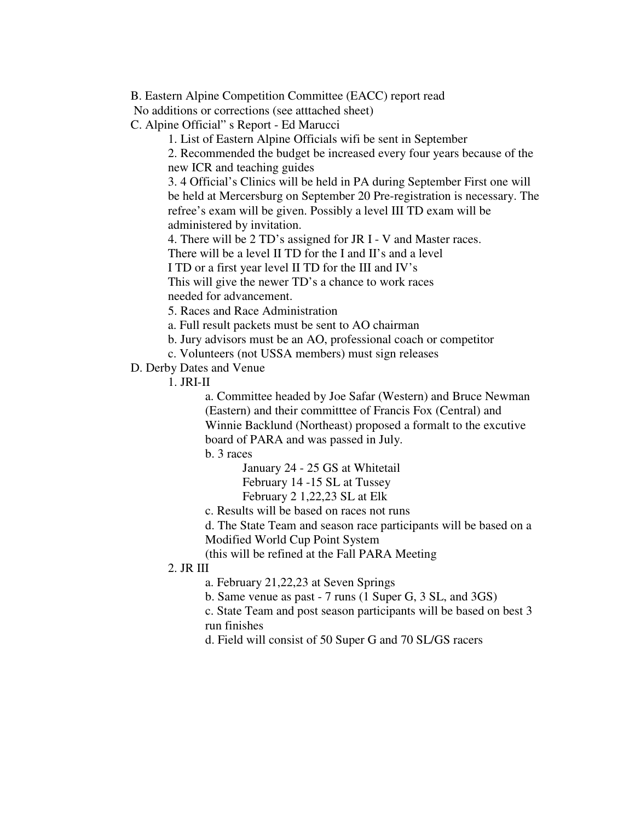B. Eastern Alpine Competition Committee (EACC) report read

No additions or corrections (see atttached sheet)

C. Alpine Official" s Report - Ed Marucci

1. List of Eastern Alpine Officials wifi be sent in September

2. Recommended the budget be increased every four years because of the new ICR and teaching guides

3. 4 Official's Clinics will be held in PA during September First one will be held at Mercersburg on September 20 Pre-registration is necessary. The refree's exam will be given. Possibly a level III TD exam will be administered by invitation.

4. There will be 2 TD's assigned for JR I - V and Master races.

There will be a level II TD for the I and II's and a level

I TD or a first year level II TD for the III and IV's

This will give the newer TD's a chance to work races needed for advancement.

5. Races and Race Administration

a. Full result packets must be sent to AO chairman

b. Jury advisors must be an AO, professional coach or competitor

c. Volunteers (not USSA members) must sign releases

D. Derby Dates and Venue

1. JRI-II

a. Committee headed by Joe Safar (Western) and Bruce Newman (Eastern) and their committtee of Francis Fox (Central) and Winnie Backlund (Northeast) proposed a formalt to the excutive board of PARA and was passed in July.

b. 3 races

January 24 - 25 GS at Whitetail

February 14 -15 SL at Tussey

February 2 1,22,23 SL at Elk

c. Results will be based on races not runs

d. The State Team and season race participants will be based on a Modified World Cup Point System

(this will be refined at the Fall PARA Meeting

### 2. JR III

a. February 21,22,23 at Seven Springs

b. Same venue as past - 7 runs (1 Super G, 3 SL, and 3GS)

c. State Team and post season participants will be based on best 3 run finishes

d. Field will consist of 50 Super G and 70 SL/GS racers